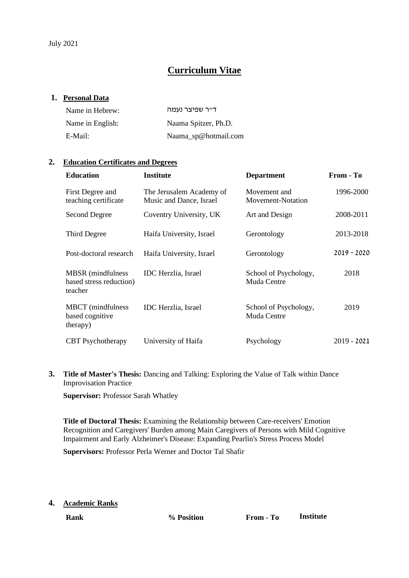# **Curriculum Vitae**

#### **1. Personal Data**

| Name in Hebrew:  | דייר שפיצר נעמה      |
|------------------|----------------------|
| Name in English: | Naama Spitzer, Ph.D. |
| E-Mail:          | Naama_sp@hotmail.com |

### **2. Education Certificates and Degrees**

| <b>Education</b>                                                | <b>Institute</b>                                    | <b>Department</b>                    | From - To     |
|-----------------------------------------------------------------|-----------------------------------------------------|--------------------------------------|---------------|
| First Degree and<br>teaching certificate                        | The Jerusalem Academy of<br>Music and Dance, Israel | Movement and<br>Movement-Notation    | 1996-2000     |
| Second Degree                                                   | Coventry University, UK                             | Art and Design                       | 2008-2011     |
| Third Degree                                                    | Haifa University, Israel                            | Gerontology                          | 2013-2018     |
| Post-doctoral research                                          | Haifa University, Israel                            | Gerontology                          | $2019 - 2020$ |
| <b>MBSR</b> (mindfulness)<br>based stress reduction)<br>teacher | <b>IDC</b> Herzlia, Israel                          | School of Psychology,<br>Muda Centre | 2018          |
| <b>MBCT</b> (mindfulness)<br>based cognitive<br>therapy)        | <b>IDC</b> Herzlia, Israel                          | School of Psychology,<br>Muda Centre | 2019          |
| <b>CBT</b> Psychotherapy                                        | University of Haifa                                 | Psychology                           | $2019 - 2021$ |

**3. Title of Master's Thesis:** Dancing and Talking: Exploring the Value of Talk within Dance Improvisation Practice

**Supervisor: Professor Sarah Whatley** 

**Title of Doctoral Thesis:** Examining the Relationship between Care-receivers' Emotion Recognition and Caregivers' Burden among Main Caregivers of Persons with Mild Cognitive Impairment and Early Alzheimer's Disease: Expanding Pearlin's Stress Process Model

**Supervisors:** Professor Perla Werner and Doctor Tal Shafir

**4. Academic Ranks**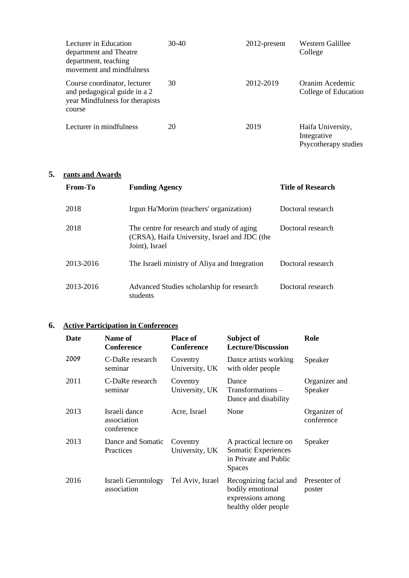| Lecturer in Education<br>department and Theatre<br>department, teaching<br>movement and mindfulness       | $30-40$ | 2012-present | Western Galillee<br>College                              |
|-----------------------------------------------------------------------------------------------------------|---------|--------------|----------------------------------------------------------|
| Course coordinator, lecturer<br>and pedagogical guide in a 2<br>year Mindfulness for therapists<br>course | 30      | 2012-2019    | Oranim Acedemic<br>College of Education                  |
| Lecturer in mindfulness                                                                                   | 20      | 2019         | Haifa University,<br>Integrative<br>Psycotherapy studies |

## **5. rants and Awards**

| From-To   | <b>Funding Agency</b>                                                                                         | <b>Title of Research</b> |
|-----------|---------------------------------------------------------------------------------------------------------------|--------------------------|
| 2018      | Irgun Ha'Morim (teachers' organization)                                                                       | Doctoral research        |
| 2018      | The centre for research and study of aging<br>(CRSA), Haifa University, Israel and JDC (the<br>Joint), Israel | Doctoral research        |
| 2013-2016 | The Israeli ministry of Aliya and Integration                                                                 | Doctoral research        |
| 2013-2016 | Advanced Studies scholarship for research<br>students                                                         | Doctoral research        |

## **6. Active Participation in Conferences**

| Date | Name of<br>Conference                      | <b>Place of</b><br><b>Conference</b> | Subject of<br><b>Lecture/Discussion</b>                                                 | Role                       |
|------|--------------------------------------------|--------------------------------------|-----------------------------------------------------------------------------------------|----------------------------|
| 2009 | C-DaRe research<br>seminar                 | Coventry<br>University, UK           | Dance artists working<br>with older people                                              | Speaker                    |
| 2011 | C-DaRe research<br>seminar                 | Coventry<br>University, UK           | Dance<br>Transformations-<br>Dance and disability                                       | Organizer and<br>Speaker   |
| 2013 | Israeli dance<br>association<br>conference | Acre, Israel                         | None                                                                                    | Organizer of<br>conference |
| 2013 | Dance and Somatic<br>Practices             | Coventry<br>University, UK           | A practical lecture on<br>Somatic Experiences<br>in Private and Public<br><b>Spaces</b> | Speaker                    |
| 2016 | Israeli Gerontology<br>association         | Tel Aviv, Israel                     | Recognizing facial and<br>bodily emotional<br>expressions among<br>healthy older people | Presenter of<br>poster     |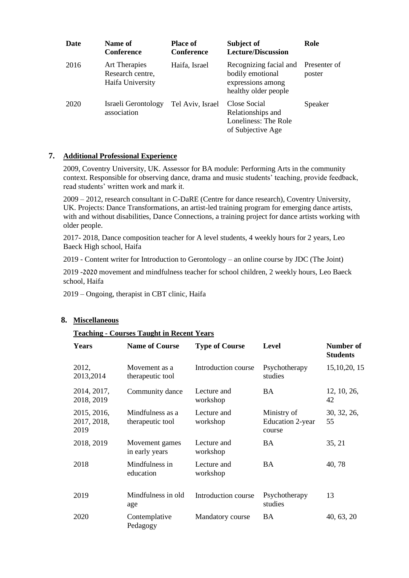| Date | Name of<br><b>Conference</b>                                 | <b>Place of</b><br><b>Conference</b> | Subject of<br><b>Lecture/Discussion</b>                                                 | Role                   |
|------|--------------------------------------------------------------|--------------------------------------|-----------------------------------------------------------------------------------------|------------------------|
| 2016 | <b>Art Therapies</b><br>Research centre,<br>Haifa University | Haifa, Israel                        | Recognizing facial and<br>bodily emotional<br>expressions among<br>healthy older people | Presenter of<br>poster |
| 2020 | Israeli Gerontology<br>association                           | Tel Aviv, Israel                     | Close Social<br>Relationships and<br>Loneliness: The Role<br>of Subjective Age          | Speaker                |

#### **7. Additional Professional Experience**

2009, Coventry University, UK. Assessor for BA module: Performing Arts in the community context. Responsible for observing dance, drama and music students' teaching, provide feedback, read students' written work and mark it.

2009 – 2012, research consultant in C-DaRE (Centre for dance research), Coventry University, UK. Projects: Dance Transformations, an artist-led training program for emerging dance artists, with and without disabilities, Dance Connections, a training project for dance artists working with older people.

2017- 2018, Dance composition teacher for A level students, 4 weekly hours for 2 years, Leo Baeck High school, Haifa

2019 - Content writer for Introduction to Gerontology – an online course by JDC (The Joint)

2019 -2020 movement and mindfulness teacher for school children, 2 weekly hours, Leo Baeck school, Haifa

2019 – Ongoing, therapist in CBT clinic, Haifa

#### **8. Miscellaneous**

#### **Teaching - Courses Taught in Recent Years**

| Years                              | <b>Name of Course</b>                | <b>Type of Course</b>   | <b>Level</b>                                     | Number of<br><b>Students</b> |
|------------------------------------|--------------------------------------|-------------------------|--------------------------------------------------|------------------------------|
| 2012,<br>2013,2014                 | Movement as a<br>therapeutic tool    | Introduction course     | Psychotherapy<br>studies                         | 15, 10, 20, 15               |
| 2014, 2017,<br>2018, 2019          | Community dance                      | Lecture and<br>workshop | <b>BA</b>                                        | 12, 10, 26,<br>42            |
| 2015, 2016,<br>2017, 2018,<br>2019 | Mindfulness as a<br>therapeutic tool | Lecture and<br>workshop | Ministry of<br><b>Education 2-year</b><br>course | 30, 32, 26,<br>55            |
| 2018, 2019                         | Movement games<br>in early years     | Lecture and<br>workshop | <b>BA</b>                                        | 35, 21                       |
| 2018                               | Mindfulness in<br>education          | Lecture and<br>workshop | <b>BA</b>                                        | 40, 78                       |
| 2019                               | Mindfulness in old<br>age            | Introduction course     | Psychotherapy<br>studies                         | 13                           |
| 2020                               | Contemplative<br>Pedagogy            | Mandatory course        | <b>BA</b>                                        | 40, 63, 20                   |